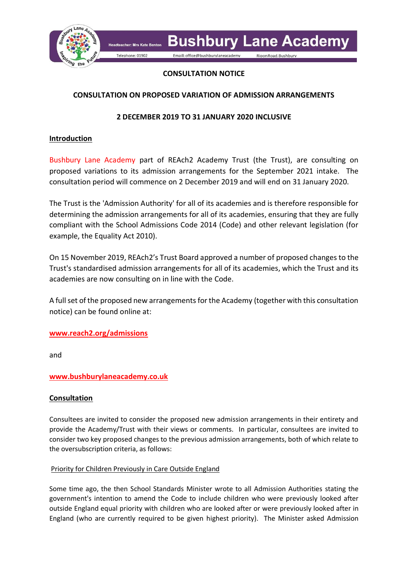

Headteacher: Mrs Kate Bento Telephone: 01902

Email: office@bushburylaneacademy

## **CONSULTATION NOTICE**

# **CONSULTATION ON PROPOSED VARIATION OF ADMISSION ARRANGEMENTS**

# **2 DECEMBER 2019 TO 31 JANUARY 2020 INCLUSIVE**

## **Introduction**

Bushbury Lane Academy part of REAch2 Academy Trust (the Trust), are consulting on proposed variations to its admission arrangements for the September 2021 intake. The consultation period will commence on 2 December 2019 and will end on 31 January 2020.

The Trust is the 'Admission Authority' for all of its academies and is therefore responsible for determining the admission arrangements for all of its academies, ensuring that they are fully compliant with the School Admissions Code 2014 (Code) and other relevant legislation (for example, the Equality Act 2010).

On 15 November 2019, REAch2's Trust Board approved a number of proposed changes to the Trust's standardised admission arrangements for all of its academies, which the Trust and its academies are now consulting on in line with the Code.

A full set of the proposed new arrangements for the Academy (together with this consultation notice) can be found online at:

### **[www.reach2.org/admissions](http://www.reach2.org/admissions)**

and

# **www.bushburylaneacademy.co.uk**

### **Consultation**

Consultees are invited to consider the proposed new admission arrangements in their entirety and provide the Academy/Trust with their views or comments. In particular, consultees are invited to consider two key proposed changes to the previous admission arrangements, both of which relate to the oversubscription criteria, as follows:

### Priority for Children Previously in Care Outside England

Some time ago, the then School Standards Minister wrote to all Admission Authorities stating the government's intention to amend the Code to include children who were previously looked after outside England equal priority with children who are looked after or were previously looked after in England (who are currently required to be given highest priority). The Minister asked Admission